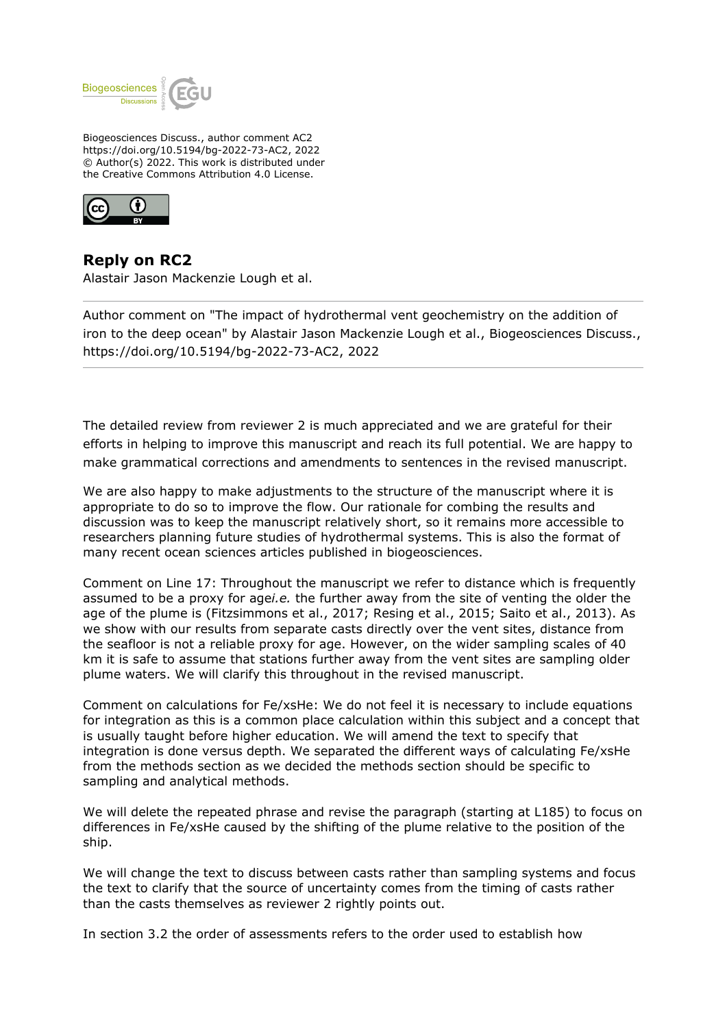

Biogeosciences Discuss., author comment AC2 https://doi.org/10.5194/bg-2022-73-AC2, 2022 © Author(s) 2022. This work is distributed under the Creative Commons Attribution 4.0 License.



## **Reply on RC2**

Alastair Jason Mackenzie Lough et al.

Author comment on "The impact of hydrothermal vent geochemistry on the addition of iron to the deep ocean" by Alastair Jason Mackenzie Lough et al., Biogeosciences Discuss., https://doi.org/10.5194/bg-2022-73-AC2, 2022

The detailed review from reviewer 2 is much appreciated and we are grateful for their efforts in helping to improve this manuscript and reach its full potential. We are happy to make grammatical corrections and amendments to sentences in the revised manuscript.

We are also happy to make adjustments to the structure of the manuscript where it is appropriate to do so to improve the flow. Our rationale for combing the results and discussion was to keep the manuscript relatively short, so it remains more accessible to researchers planning future studies of hydrothermal systems. This is also the format of many recent ocean sciences articles published in biogeosciences.

Comment on Line 17: Throughout the manuscript we refer to distance which is frequently assumed to be a proxy for age*i.e.* the further away from the site of venting the older the age of the plume is (Fitzsimmons et al., 2017; Resing et al., 2015; Saito et al., 2013). As we show with our results from separate casts directly over the vent sites, distance from the seafloor is not a reliable proxy for age. However, on the wider sampling scales of 40 km it is safe to assume that stations further away from the vent sites are sampling older plume waters. We will clarify this throughout in the revised manuscript.

Comment on calculations for Fe/xsHe: We do not feel it is necessary to include equations for integration as this is a common place calculation within this subject and a concept that is usually taught before higher education. We will amend the text to specify that integration is done versus depth. We separated the different ways of calculating Fe/xsHe from the methods section as we decided the methods section should be specific to sampling and analytical methods.

We will delete the repeated phrase and revise the paragraph (starting at L185) to focus on differences in Fe/xsHe caused by the shifting of the plume relative to the position of the ship.

We will change the text to discuss between casts rather than sampling systems and focus the text to clarify that the source of uncertainty comes from the timing of casts rather than the casts themselves as reviewer 2 rightly points out.

In section 3.2 the order of assessments refers to the order used to establish how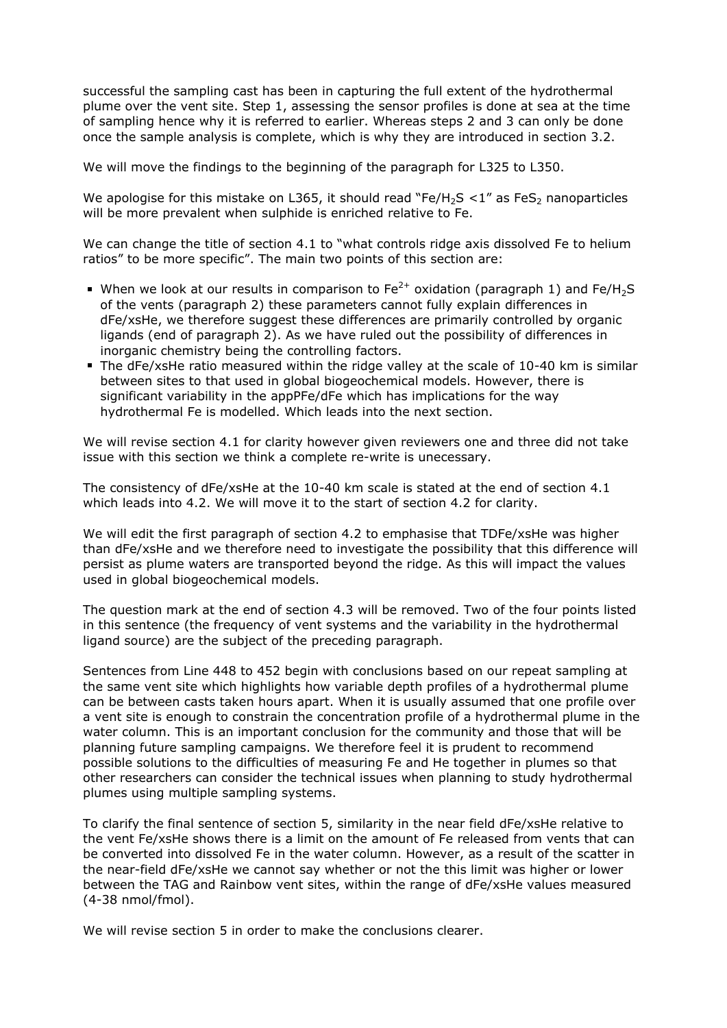successful the sampling cast has been in capturing the full extent of the hydrothermal plume over the vent site. Step 1, assessing the sensor profiles is done at sea at the time of sampling hence why it is referred to earlier. Whereas steps 2 and 3 can only be done once the sample analysis is complete, which is why they are introduced in section 3.2.

We will move the findings to the beginning of the paragraph for L325 to L350.

We apologise for this mistake on L365, it should read "Fe/H<sub>2</sub>S  $\lt 1$ " as FeS<sub>2</sub> nanoparticles will be more prevalent when sulphide is enriched relative to Fe.

We can change the title of section 4.1 to "what controls ridge axis dissolved Fe to helium ratios" to be more specific". The main two points of this section are:

- When we look at our results in comparison to  $Fe^{2+}$  oxidation (paragraph 1) and  $Fe/H<sub>2</sub>S$ of the vents (paragraph 2) these parameters cannot fully explain differences in dFe/xsHe, we therefore suggest these differences are primarily controlled by organic ligands (end of paragraph 2). As we have ruled out the possibility of differences in inorganic chemistry being the controlling factors.
- The dFe/xsHe ratio measured within the ridge valley at the scale of 10-40 km is similar between sites to that used in global biogeochemical models. However, there is significant variability in the appPFe/dFe which has implications for the way hydrothermal Fe is modelled. Which leads into the next section.

We will revise section 4.1 for clarity however given reviewers one and three did not take issue with this section we think a complete re-write is unecessary.

The consistency of dFe/xsHe at the 10-40 km scale is stated at the end of section 4.1 which leads into 4.2. We will move it to the start of section 4.2 for clarity.

We will edit the first paragraph of section 4.2 to emphasise that TDFe/xsHe was higher than dFe/xsHe and we therefore need to investigate the possibility that this difference will persist as plume waters are transported beyond the ridge. As this will impact the values used in global biogeochemical models.

The question mark at the end of section 4.3 will be removed. Two of the four points listed in this sentence (the frequency of vent systems and the variability in the hydrothermal ligand source) are the subject of the preceding paragraph.

Sentences from Line 448 to 452 begin with conclusions based on our repeat sampling at the same vent site which highlights how variable depth profiles of a hydrothermal plume can be between casts taken hours apart. When it is usually assumed that one profile over a vent site is enough to constrain the concentration profile of a hydrothermal plume in the water column. This is an important conclusion for the community and those that will be planning future sampling campaigns. We therefore feel it is prudent to recommend possible solutions to the difficulties of measuring Fe and He together in plumes so that other researchers can consider the technical issues when planning to study hydrothermal plumes using multiple sampling systems.

To clarify the final sentence of section 5, similarity in the near field dFe/xsHe relative to the vent Fe/xsHe shows there is a limit on the amount of Fe released from vents that can be converted into dissolved Fe in the water column. However, as a result of the scatter in the near-field dFe/xsHe we cannot say whether or not the this limit was higher or lower between the TAG and Rainbow vent sites, within the range of dFe/xsHe values measured (4-38 nmol/fmol).

We will revise section 5 in order to make the conclusions clearer.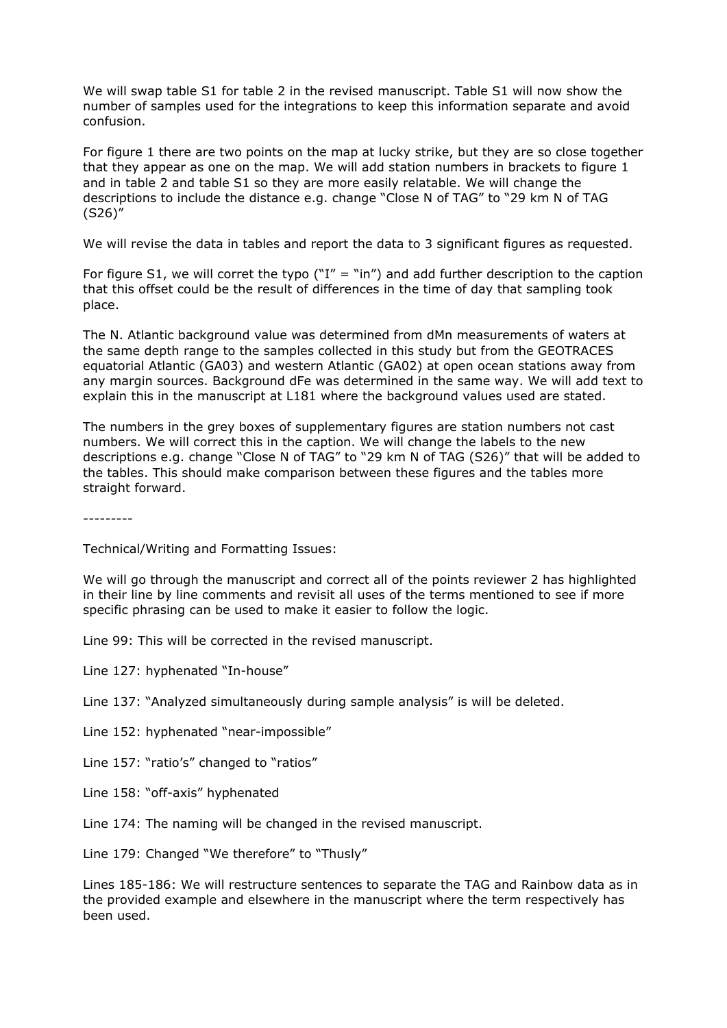We will swap table S1 for table 2 in the revised manuscript. Table S1 will now show the number of samples used for the integrations to keep this information separate and avoid confusion.

For figure 1 there are two points on the map at lucky strike, but they are so close together that they appear as one on the map. We will add station numbers in brackets to figure 1 and in table 2 and table S1 so they are more easily relatable. We will change the descriptions to include the distance e.g. change "Close N of TAG" to "29 km N of TAG (S26)"

We will revise the data in tables and report the data to 3 significant figures as requested.

For figure S1, we will corret the typo ("I" = "in") and add further description to the caption that this offset could be the result of differences in the time of day that sampling took place.

The N. Atlantic background value was determined from dMn measurements of waters at the same depth range to the samples collected in this study but from the GEOTRACES equatorial Atlantic (GA03) and western Atlantic (GA02) at open ocean stations away from any margin sources. Background dFe was determined in the same way. We will add text to explain this in the manuscript at L181 where the background values used are stated.

The numbers in the grey boxes of supplementary figures are station numbers not cast numbers. We will correct this in the caption. We will change the labels to the new descriptions e.g. change "Close N of TAG" to "29 km N of TAG (S26)" that will be added to the tables. This should make comparison between these figures and the tables more straight forward.

---------

Technical/Writing and Formatting Issues:

We will go through the manuscript and correct all of the points reviewer 2 has highlighted in their line by line comments and revisit all uses of the terms mentioned to see if more specific phrasing can be used to make it easier to follow the logic.

Line 99: This will be corrected in the revised manuscript.

Line 127: hyphenated "In-house"

- Line 137: "Analyzed simultaneously during sample analysis" is will be deleted.
- Line 152: hyphenated "near-impossible"
- Line 157: "ratio's" changed to "ratios"
- Line 158: "off-axis" hyphenated
- Line 174: The naming will be changed in the revised manuscript.

Line 179: Changed "We therefore" to "Thusly"

Lines 185-186: We will restructure sentences to separate the TAG and Rainbow data as in the provided example and elsewhere in the manuscript where the term respectively has been used.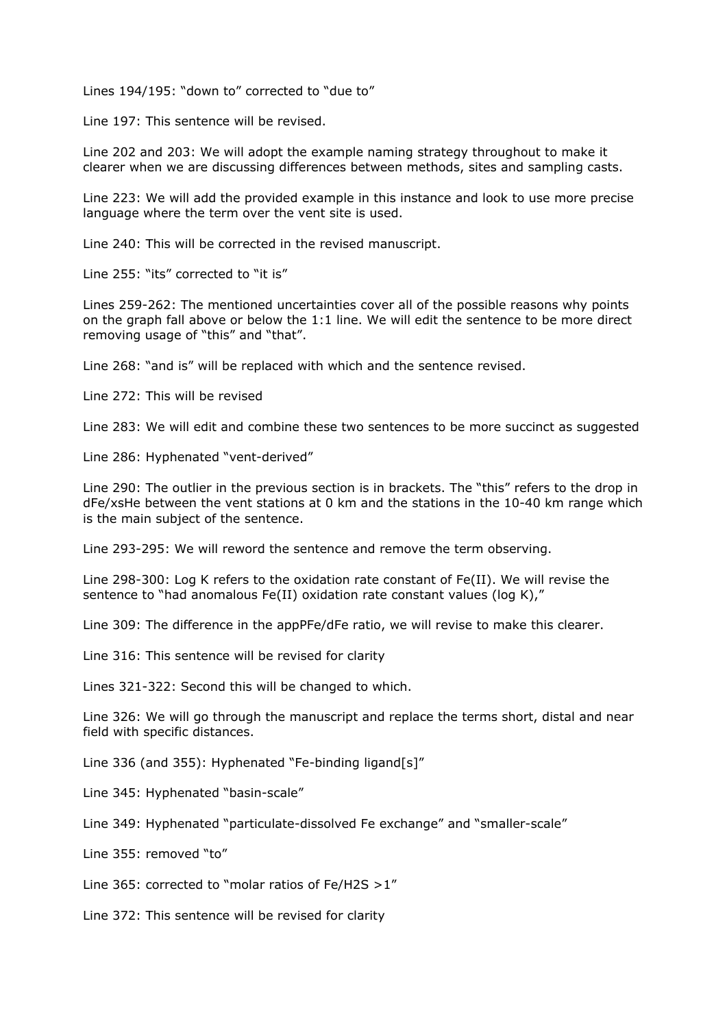Lines 194/195: "down to" corrected to "due to"

Line 197: This sentence will be revised.

Line 202 and 203: We will adopt the example naming strategy throughout to make it clearer when we are discussing differences between methods, sites and sampling casts.

Line 223: We will add the provided example in this instance and look to use more precise language where the term over the vent site is used.

Line 240: This will be corrected in the revised manuscript.

Line 255: "its" corrected to "it is"

Lines 259-262: The mentioned uncertainties cover all of the possible reasons why points on the graph fall above or below the 1:1 line. We will edit the sentence to be more direct removing usage of "this" and "that".

Line 268: "and is" will be replaced with which and the sentence revised.

Line 272: This will be revised

Line 283: We will edit and combine these two sentences to be more succinct as suggested

Line 286: Hyphenated "vent-derived"

Line 290: The outlier in the previous section is in brackets. The "this" refers to the drop in dFe/xsHe between the vent stations at 0 km and the stations in the 10-40 km range which is the main subject of the sentence.

Line 293-295: We will reword the sentence and remove the term observing.

Line 298-300: Log K refers to the oxidation rate constant of Fe(II). We will revise the sentence to "had anomalous Fe(II) oxidation rate constant values (log K),"

Line 309: The difference in the appPFe/dFe ratio, we will revise to make this clearer.

Line 316: This sentence will be revised for clarity

Lines 321-322: Second this will be changed to which.

Line 326: We will go through the manuscript and replace the terms short, distal and near field with specific distances.

Line 336 (and 355): Hyphenated "Fe-binding ligand[s]"

Line 345: Hyphenated "basin-scale"

Line 349: Hyphenated "particulate-dissolved Fe exchange" and "smaller-scale"

Line 355: removed "to"

Line 365: corrected to "molar ratios of Fe/H2S >1"

Line 372: This sentence will be revised for clarity